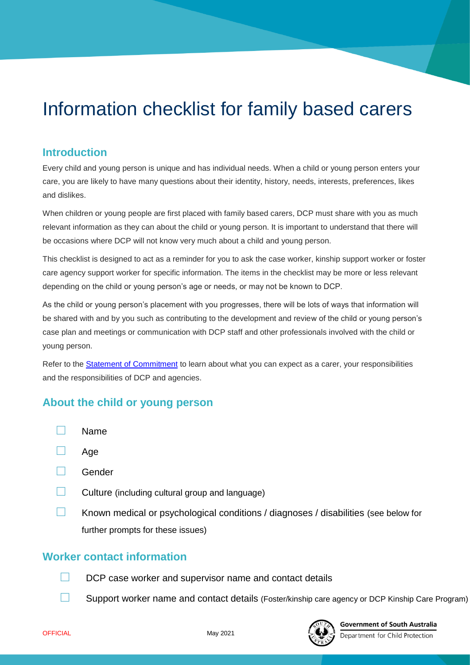# Information checklist for family based carers

### **Introduction**

Every child and young person is unique and has individual needs. When a child or young person enters your care, you are likely to have many questions about their identity, history, needs, interests, preferences, likes and dislikes.

When children or young people are first placed with family based carers, DCP must share with you as much relevant information as they can about the child or young person. It is important to understand that there will be occasions where DCP will not know very much about a child and young person.

This checklist is designed to act as a reminder for you to ask the case worker, kinship support worker or foster care agency support worker for specific information. The items in the checklist may be more or less relevant depending on the child or young person's age or needs, or may not be known to DCP.

As the child or young person's placement with you progresses, there will be lots of ways that information will be shared with and by you such as contributing to the development and review of the child or young person's case plan and meetings or communication with DCP staff and other professionals involved with the child or young person.

Refer to the [Statement of Commitment](https://www.childprotection.sa.gov.au/carers/how-dcp-works/statement-of-commitment) to learn about what you can expect as a carer, your responsibilities and the responsibilities of DCP and agencies.

#### **About the child or young person**

- **□** Name
- **□** Age
- **□** Gender
- **□** Culture (including cultural group and language)
- **□** Known medical or psychological conditions / diagnoses / disabilities (see below for further prompts for these issues)

# **Worker contact information**

- **□** DCP case worker and supervisor name and contact details
- **□** Support worker name and contact details (Foster/kinship care agency or DCP Kinship Care Program)



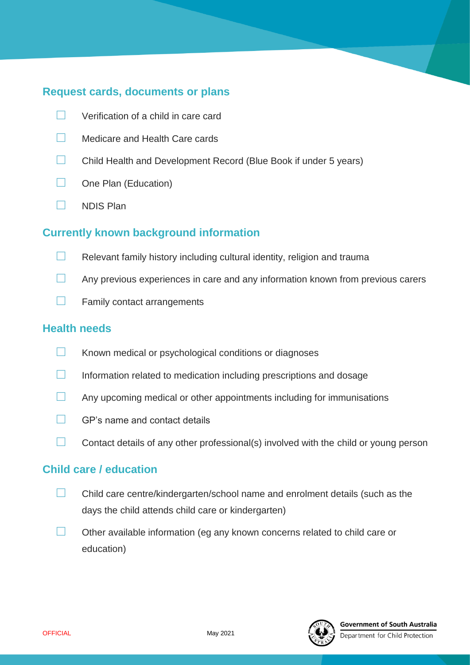# **Request cards, documents or plans**

- **□** Verification of a child in care card
- **□** Medicare and Health Care cards
- **□** Child Health and Development Record (Blue Book if under 5 years)
- **□** One Plan (Education)
- **□** NDIS Plan

#### **Currently known background information**

- **□** Relevant family history including cultural identity, religion and trauma
- **□** Any previous experiences in care and any information known from previous carers
- **□** Family contact arrangements

#### **Health needs**

- **□** Known medical or psychological conditions or diagnoses
- **□** Information related to medication including prescriptions and dosage
- **□** Any upcoming medical or other appointments including for immunisations
- **□** GP's name and contact details
- **□** Contact details of any other professional(s) involved with the child or young person

#### **Child care / education**

- **□** Child care centre/kindergarten/school name and enrolment details (such as the days the child attends child care or kindergarten)
- **□** Other available information (eg any known concerns related to child care or education)